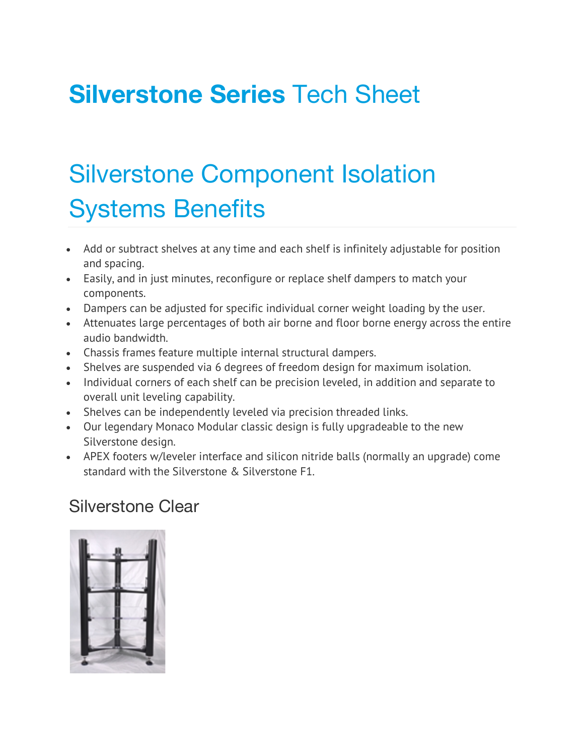## **Silverstone Series** Tech Sheet

# Silverstone Component Isolation Systems Benefits

- Add or subtract shelves at any time and each shelf is infinitely adjustable for position and spacing.
- Easily, and in just minutes, reconfigure or replace shelf dampers to match your components.
- Dampers can be adjusted for specific individual corner weight loading by the user.
- Attenuates large percentages of both air borne and floor borne energy across the entire audio bandwidth.
- Chassis frames feature multiple internal structural dampers.
- Shelves are suspended via 6 degrees of freedom design for maximum isolation.
- Individual corners of each shelf can be precision leveled, in addition and separate to overall unit leveling capability.
- Shelves can be independently leveled via precision threaded links.
- Our legendary Monaco Modular classic design is fully upgradeable to the new Silverstone design.
- APEX footers w/leveler interface and silicon nitride balls (normally an upgrade) come standard with the Silverstone & Silverstone F1.

#### Silverstone Clear

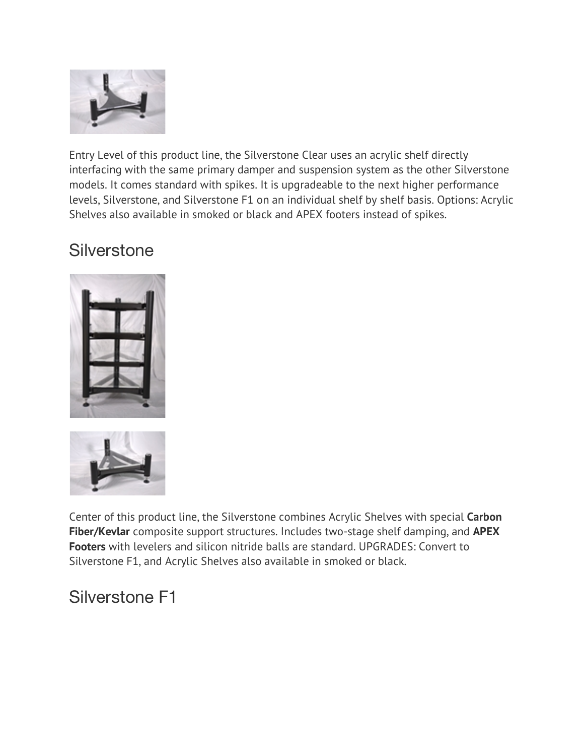

Entry Level of this product line, the Silverstone Clear uses an acrylic shelf directly interfacing with the same primary damper and suspension system as the other Silverstone models. It comes standard with spikes. It is upgradeable to the next higher performance levels, Silverstone, and Silverstone F1 on an individual shelf by shelf basis. Options: Acrylic Shelves also available in smoked or black and APEX footers instead of spikes.

#### **Silverstone**





Center of this product line, the Silverstone combines Acrylic Shelves with special **Carbon Fiber/Kevlar** composite support structures. Includes two-stage shelf damping, and **APEX Footers** with levelers and silicon nitride balls are standard. UPGRADES: Convert to Silverstone F1, and Acrylic Shelves also available in smoked or black.

### Silverstone F1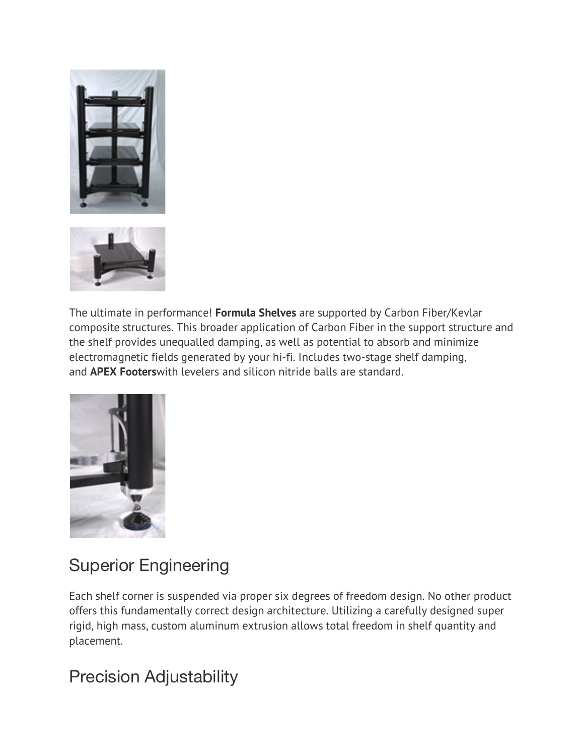



The ultimate in performance! **Formula Shelves** are supported by Carbon Fiber/Kevlar composite structures. This broader application of Carbon Fiber in the support structure and the shelf provides unequalled damping, as well as potential to absorb and minimize electromagnetic fields generated by your hi-fi. Includes two-stage shelf damping, and **APEX Footers**with levelers and silicon nitride balls are standard.



#### Superior Engineering

Each shelf corner is suspended via proper six degrees of freedom design. No other product offers this fundamentally correct design architecture. Utilizing a carefully designed super rigid, high mass, custom aluminum extrusion allows total freedom in shelf quantity and placement.

#### Precision Adjustability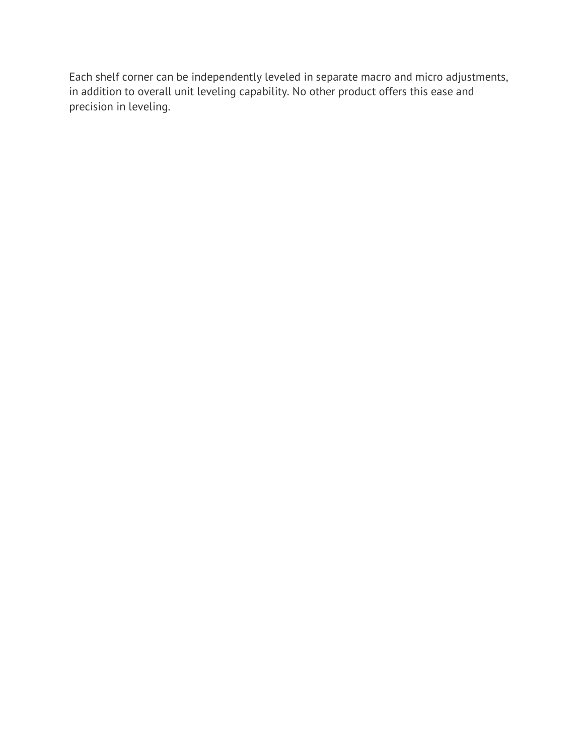Each shelf corner can be independently leveled in separate macro and micro adjustments, in addition to overall unit leveling capability. No other product offers this ease and precision in leveling.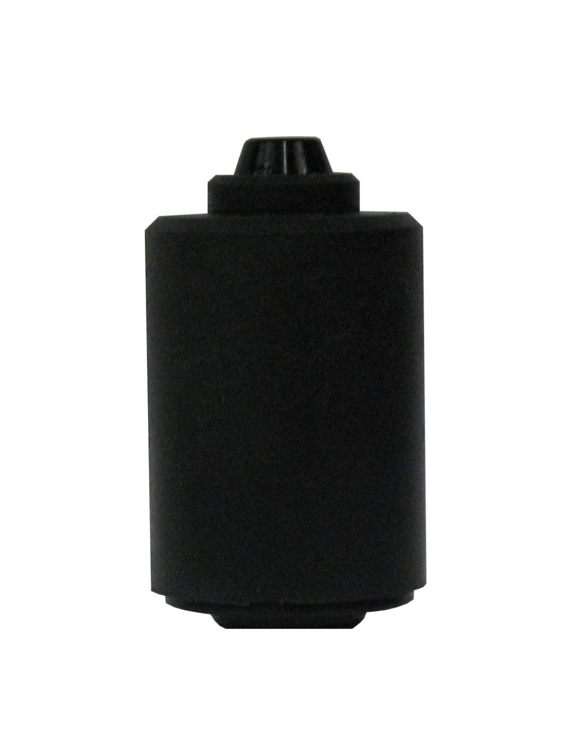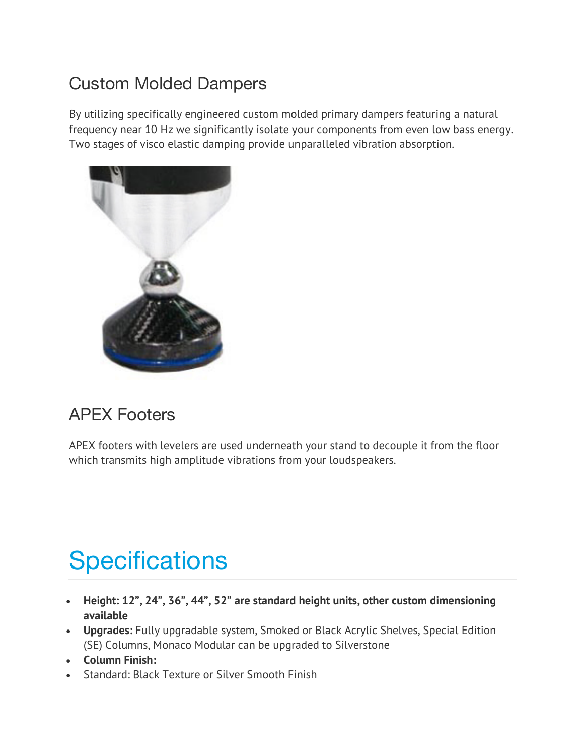### Custom Molded Dampers

By utilizing specifically engineered custom molded primary dampers featuring a natural frequency near 10 Hz we significantly isolate your components from even low bass energy. Two stages of visco elastic damping provide unparalleled vibration absorption.



#### APEX Footers

APEX footers with levelers are used underneath your stand to decouple it from the floor which transmits high amplitude vibrations from your loudspeakers.

## **Specifications**

- **Height: 12", 24", 36", 44", 52" are standard height units, other custom dimensioning available**
- **Upgrades:** Fully upgradable system, Smoked or Black Acrylic Shelves, Special Edition (SE) Columns, Monaco Modular can be upgraded to Silverstone
- **Column Finish:**
- Standard: Black Texture or Silver Smooth Finish